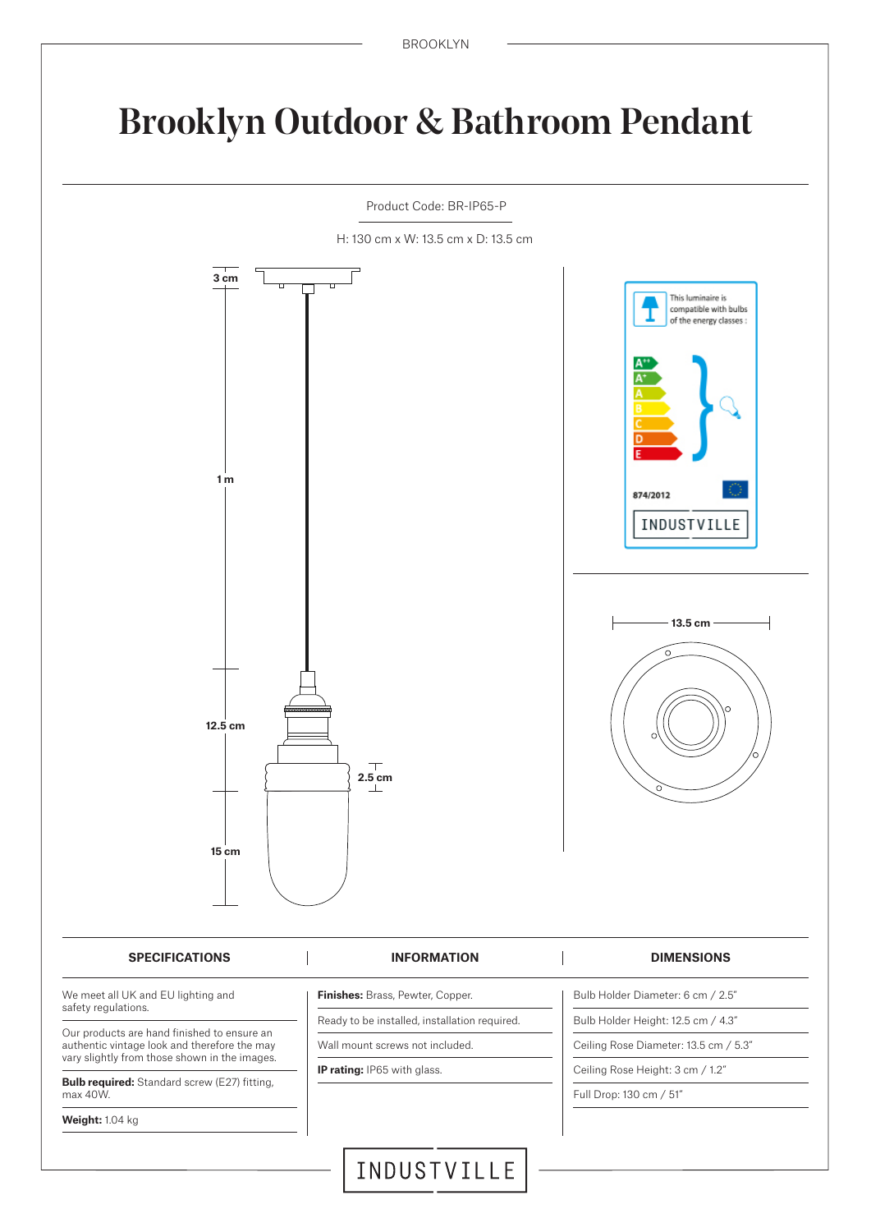## Brooklyn Outdoor & Bathroom Pendant

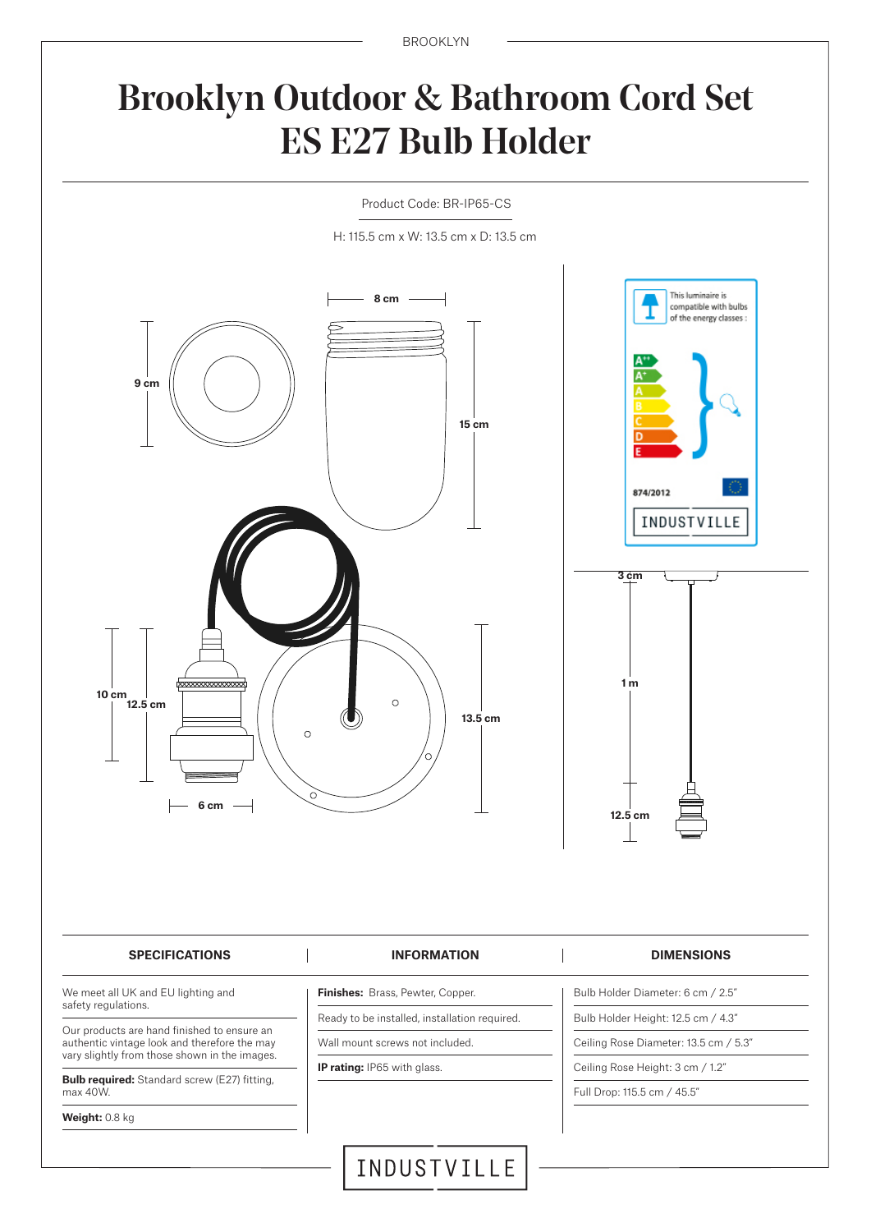BROOKLYN

# Brooklyn Outdoor & Bathroom Cord Set ES E27 Bulb Holder